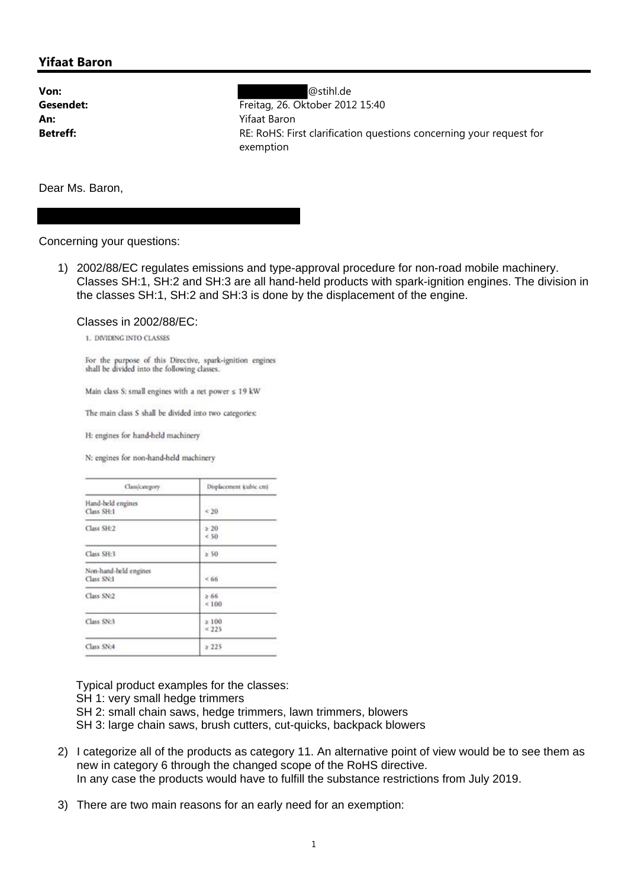## **Yifaat Baron**

**Von:** @stihl.de **Gesendet:** Freitag, 26. Oktober 2012 15:40 **An:** Yifaat Baron **Betreff:** RE: RoHS: First clarification questions concerning your request for exemption

Dear Ms. Baron,

Concerning your questions:

1) 2002/88/EC regulates emissions and type-approval procedure for non-road mobile machinery. Classes SH:1, SH:2 and SH:3 are all hand-held products with spark-ignition engines. The division in the classes SH:1, SH:2 and SH:3 is done by the displacement of the engine.

## Classes in 2002/88/EC:

1. DIVIDING INTO CLASSES

For the purpose of this Directive, spark-ignition engines shall be divided into the following classes.

Main class S: small engines with a net power  $\leq 19$  kW

The main class S shall be divided into two categories:

H: engines for hand-held machinery

N: engines for non-hand-held machinery

| Class/category.                     | Displacement (cubic cm) |
|-------------------------------------|-------------------------|
| Hand-held engines<br>Class SH:1     | &20                     |
| Class SH:2                          | >20<br>36               |
| Class SH:3                          | $\geq$ 50               |
| Non-hand-held engines<br>Class SN:1 | <66                     |
| Class SN:2                          | $\geq 66$<br>< 100      |
| Class SN:3                          | $\geq 100$<br>225       |
| Class SN:4                          | > 225                   |

Typical product examples for the classes:

SH 1: very small hedge trimmers

SH 2: small chain saws, hedge trimmers, lawn trimmers, blowers

SH 3: large chain saws, brush cutters, cut-quicks, backpack blowers

- 2) I categorize all of the products as category 11. An alternative point of view would be to see them as new in category 6 through the changed scope of the RoHS directive. In any case the products would have to fulfill the substance restrictions from July 2019.
- 3) There are two main reasons for an early need for an exemption: